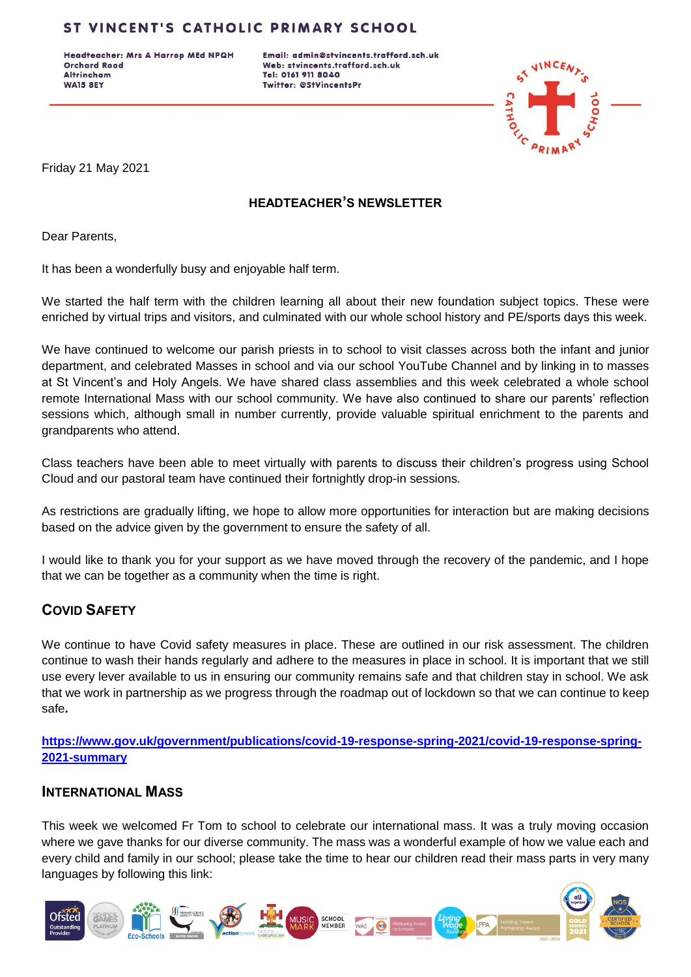## ST VINCENT'S CATHOLIC PRIMARY SCHOOL

Headteacher: Mrs A Harrop MEd NPQH **Orchard Road Altrincham WA15 8EY** 

Email: admin@stvincents.trafford.sch.uk Web: stvincents.trafford.sch.uk Tel: 0161 911 8040 Twitter: @StVincentsPr



Friday 21 May 2021

### **HEADTEACHER'S NEWSLETTER**

Dear Parents,

It has been a wonderfully busy and enjoyable half term.

We started the half term with the children learning all about their new foundation subject topics. These were enriched by virtual trips and visitors, and culminated with our whole school history and PE/sports days this week.

We have continued to welcome our parish priests in to school to visit classes across both the infant and junior department, and celebrated Masses in school and via our school YouTube Channel and by linking in to masses at St Vincent's and Holy Angels. We have shared class assemblies and this week celebrated a whole school remote International Mass with our school community. We have also continued to share our parents' reflection sessions which, although small in number currently, provide valuable spiritual enrichment to the parents and grandparents who attend.

Class teachers have been able to meet virtually with parents to discuss their children's progress using School Cloud and our pastoral team have continued their fortnightly drop-in sessions.

As restrictions are gradually lifting, we hope to allow more opportunities for interaction but are making decisions based on the advice given by the government to ensure the safety of all.

I would like to thank you for your support as we have moved through the recovery of the pandemic, and I hope that we can be together as a community when the time is right.

# **COVID SAFETY**

We continue to have Covid safety measures in place. These are outlined in our risk assessment. The children continue to wash their hands regularly and adhere to the measures in place in school. It is important that we still use every lever available to us in ensuring our community remains safe and that children stay in school. We ask that we work in partnership as we progress through the roadmap out of lockdown so that we can continue to keep safe**.** 

**[https://www.gov.uk/government/publications/covid-19-response-spring-2021/covid-19-response-spring-](https://www.gov.uk/government/publications/covid-19-response-spring-2021/covid-19-response-spring-2021-summary)[2021-summary](https://www.gov.uk/government/publications/covid-19-response-spring-2021/covid-19-response-spring-2021-summary)**

### **INTERNATIONAL MASS**

This week we welcomed Fr Tom to school to celebrate our international mass. It was a truly moving occasion where we gave thanks for our diverse community. The mass was a wonderful example of how we value each and every child and family in our school; please take the time to hear our children read their mass parts in very many languages by following this link:

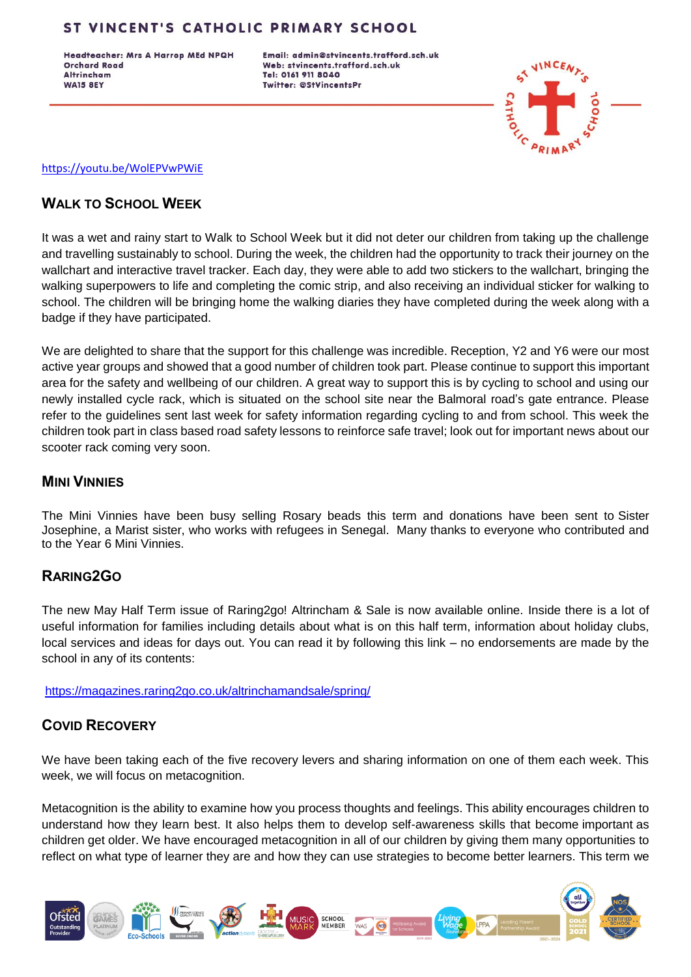## ST VINCENT'S CATHOLIC PRIMARY SCHOOL

Headteacher: Mrs A Harrop MEd NPQH **Orchard Road Altrincham WA15 8EY** 

Email: admin@stvincents.trafford.sch.uk Web: stvincents.trafford.sch.uk Tel: 0161 911 8040 Twitter: @StVincentsPr



#### <https://youtu.be/WolEPVwPWiE>

## **WALK TO SCHOOL WEEK**

It was a wet and rainy start to Walk to School Week but it did not deter our children from taking up the challenge and travelling sustainably to school. During the week, the children had the opportunity to track their journey on the wallchart and interactive travel tracker. Each day, they were able to add two stickers to the wallchart, bringing the walking superpowers to life and completing the comic strip, and also receiving an individual sticker for walking to school. The children will be bringing home the walking diaries they have completed during the week along with a badge if they have participated.

We are delighted to share that the support for this challenge was incredible. Reception, Y2 and Y6 were our most active year groups and showed that a good number of children took part. Please continue to support this important area for the safety and wellbeing of our children. A great way to support this is by cycling to school and using our newly installed cycle rack, which is situated on the school site near the Balmoral road's gate entrance. Please refer to the guidelines sent last week for safety information regarding cycling to and from school. This week the children took part in class based road safety lessons to reinforce safe travel; look out for important news about our scooter rack coming very soon.

#### **MINI VINNIES**

The Mini Vinnies have been busy selling Rosary beads this term and donations have been sent to Sister Josephine, a Marist sister, who works with refugees in Senegal. Many thanks to everyone who contributed and to the Year 6 Mini Vinnies.

### **RARING2GO**

The new May Half Term issue of Raring2go! Altrincham & Sale is now available online. Inside there is a lot of useful information for families including details about what is on this half term, information about holiday clubs, local services and ideas for days out. You can read it by following this link – no endorsements are made by the school in any of its contents:

<https://magazines.raring2go.co.uk/altrinchamandsale/spring/>

# **COVID RECOVERY**

We have been taking each of the five recovery levers and sharing information on one of them each week. This week, we will focus on metacognition.

Metacognition is the ability to examine how you process thoughts and feelings. This ability encourages children to understand how they learn best. It also helps them to develop self-awareness skills that become important as children get older. We have encouraged metacognition in all of our children by giving them many opportunities to reflect on what type of learner they are and how they can use strategies to become better learners. This term we